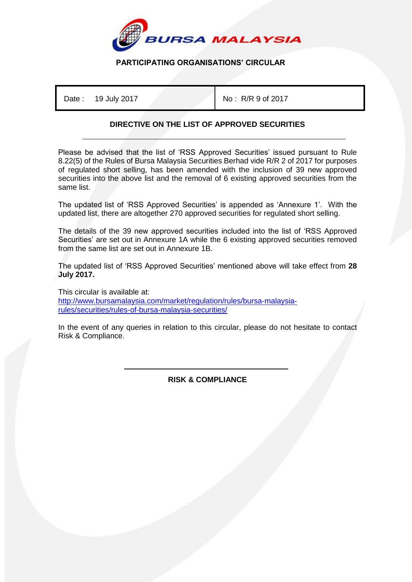

## **PARTICIPATING ORGANISATIONS' CIRCULAR**

Date: 19 July 2017 **No: R/R 9 of 2017** 

## **DIRECTIVE ON THE LIST OF APPROVED SECURITIES**

Please be advised that the list of 'RSS Approved Securities' issued pursuant to Rule 8.22(5) of the Rules of Bursa Malaysia Securities Berhad vide R/R 2 of 2017 for purposes of regulated short selling, has been amended with the inclusion of 39 new approved securities into the above list and the removal of 6 existing approved securities from the same list.

The updated list of 'RSS Approved Securities' is appended as 'Annexure 1'. With the updated list, there are altogether 270 approved securities for regulated short selling.

The details of the 39 new approved securities included into the list of 'RSS Approved Securities' are set out in Annexure 1A while the 6 existing approved securities removed from the same list are set out in Annexure 1B.

The updated list of 'RSS Approved Securities' mentioned above will take effect from **28 July 2017.**

This circular is available at: [http://www.bursamalaysia.com/market/regulation/rules/bursa-malaysia](http://www.bursamalaysia.com/market/regulation/rules/bursa-malaysia-rules/securities/rules-of-bursa-malaysia-securities/)[rules/securities/rules-of-bursa-malaysia-securities/](http://www.bursamalaysia.com/market/regulation/rules/bursa-malaysia-rules/securities/rules-of-bursa-malaysia-securities/)

In the event of any queries in relation to this circular, please do not hesitate to contact Risk & Compliance.

> İ **RISK & COMPLIANCE**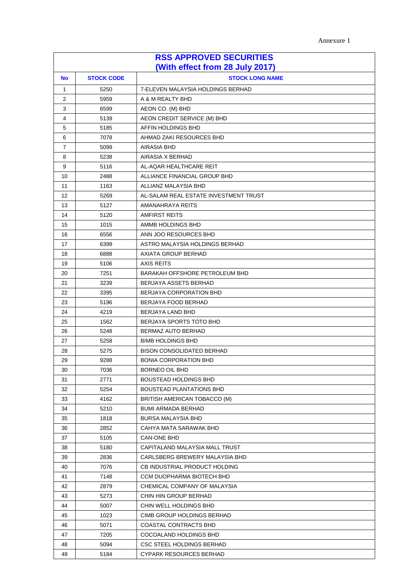Annexure 1

| <b>RSS APPROVED SECURITIES</b><br>(With effect from 28 July 2017)                |                                                                                                                      |                                                                                                                                                                                                                                                                                                                                                                                                                                                                                                                               |  |
|----------------------------------------------------------------------------------|----------------------------------------------------------------------------------------------------------------------|-------------------------------------------------------------------------------------------------------------------------------------------------------------------------------------------------------------------------------------------------------------------------------------------------------------------------------------------------------------------------------------------------------------------------------------------------------------------------------------------------------------------------------|--|
| <b>STOCK CODE</b><br><b>STOCK LONG NAME</b><br>No                                |                                                                                                                      |                                                                                                                                                                                                                                                                                                                                                                                                                                                                                                                               |  |
| $\mathbf{1}$                                                                     | 5250                                                                                                                 | 7-ELEVEN MALAYSIA HOLDINGS BERHAD                                                                                                                                                                                                                                                                                                                                                                                                                                                                                             |  |
| 2                                                                                | 5959                                                                                                                 | A & M REALTY BHD                                                                                                                                                                                                                                                                                                                                                                                                                                                                                                              |  |
| 3                                                                                | 6599                                                                                                                 | AEON CO. (M) BHD                                                                                                                                                                                                                                                                                                                                                                                                                                                                                                              |  |
| 4                                                                                | 5139                                                                                                                 | AEON CREDIT SERVICE (M) BHD                                                                                                                                                                                                                                                                                                                                                                                                                                                                                                   |  |
| 5                                                                                | 5185                                                                                                                 | AFFIN HOLDINGS BHD                                                                                                                                                                                                                                                                                                                                                                                                                                                                                                            |  |
| 6                                                                                | 7078                                                                                                                 | AHMAD ZAKI RESOURCES BHD                                                                                                                                                                                                                                                                                                                                                                                                                                                                                                      |  |
| $\overline{7}$                                                                   | 5099                                                                                                                 | AIRASIA BHD                                                                                                                                                                                                                                                                                                                                                                                                                                                                                                                   |  |
| 8                                                                                | 5238                                                                                                                 | AIRASIA X BERHAD                                                                                                                                                                                                                                                                                                                                                                                                                                                                                                              |  |
| 9                                                                                | 5116                                                                                                                 | AL-AQAR HEALTHCARE REIT                                                                                                                                                                                                                                                                                                                                                                                                                                                                                                       |  |
| 10                                                                               | 2488                                                                                                                 | ALLIANCE FINANCIAL GROUP BHD                                                                                                                                                                                                                                                                                                                                                                                                                                                                                                  |  |
| 11                                                                               | 1163                                                                                                                 | ALLIANZ MALAYSIA BHD                                                                                                                                                                                                                                                                                                                                                                                                                                                                                                          |  |
| 12                                                                               | 5269                                                                                                                 | AL-SALAM REAL ESTATE INVESTMENT TRUST                                                                                                                                                                                                                                                                                                                                                                                                                                                                                         |  |
| 13                                                                               | 5127                                                                                                                 | AMANAHRAYA REITS                                                                                                                                                                                                                                                                                                                                                                                                                                                                                                              |  |
| 14                                                                               | 5120                                                                                                                 | <b>AMFIRST REITS</b>                                                                                                                                                                                                                                                                                                                                                                                                                                                                                                          |  |
| 15                                                                               | 1015                                                                                                                 | AMMB HOLDINGS BHD                                                                                                                                                                                                                                                                                                                                                                                                                                                                                                             |  |
| 16                                                                               | 6556                                                                                                                 | ANN JOO RESOURCES BHD                                                                                                                                                                                                                                                                                                                                                                                                                                                                                                         |  |
| 17                                                                               | 6399                                                                                                                 | ASTRO MALAYSIA HOLDINGS BERHAD                                                                                                                                                                                                                                                                                                                                                                                                                                                                                                |  |
| 18                                                                               | 6888                                                                                                                 | AXIATA GROUP BERHAD                                                                                                                                                                                                                                                                                                                                                                                                                                                                                                           |  |
| 19                                                                               | 5106                                                                                                                 | <b>AXIS REITS</b>                                                                                                                                                                                                                                                                                                                                                                                                                                                                                                             |  |
| 20                                                                               | 7251                                                                                                                 | BARAKAH OFFSHORE PETROLEUM BHD                                                                                                                                                                                                                                                                                                                                                                                                                                                                                                |  |
| 21                                                                               | 3239                                                                                                                 | BERJAYA ASSETS BERHAD                                                                                                                                                                                                                                                                                                                                                                                                                                                                                                         |  |
| 22                                                                               | 3395                                                                                                                 | BERJAYA CORPORATION BHD                                                                                                                                                                                                                                                                                                                                                                                                                                                                                                       |  |
| 23                                                                               | 5196                                                                                                                 | <b>BERJAYA FOOD BERHAD</b>                                                                                                                                                                                                                                                                                                                                                                                                                                                                                                    |  |
| 24                                                                               | 4219                                                                                                                 | BERJAYA LAND BHD                                                                                                                                                                                                                                                                                                                                                                                                                                                                                                              |  |
| 25                                                                               | 1562                                                                                                                 | BERJAYA SPORTS TOTO BHD                                                                                                                                                                                                                                                                                                                                                                                                                                                                                                       |  |
| 26                                                                               | 5248                                                                                                                 | BERMAZ AUTO BERHAD                                                                                                                                                                                                                                                                                                                                                                                                                                                                                                            |  |
| 27                                                                               | 5258                                                                                                                 | <b>BIMB HOLDINGS BHD</b>                                                                                                                                                                                                                                                                                                                                                                                                                                                                                                      |  |
| 28                                                                               | 5275                                                                                                                 | <b>BISON CONSOLIDATED BERHAD</b>                                                                                                                                                                                                                                                                                                                                                                                                                                                                                              |  |
| 29                                                                               | 9288                                                                                                                 | <b>BONIA CORPORATION BHD</b>                                                                                                                                                                                                                                                                                                                                                                                                                                                                                                  |  |
| 30                                                                               | 7036                                                                                                                 |                                                                                                                                                                                                                                                                                                                                                                                                                                                                                                                               |  |
| 31                                                                               | 2771                                                                                                                 | <b>BOUSTEAD HOLDINGS BHD</b>                                                                                                                                                                                                                                                                                                                                                                                                                                                                                                  |  |
| 32                                                                               | 5254                                                                                                                 | <b>BOUSTEAD PLANTATIONS BHD</b>                                                                                                                                                                                                                                                                                                                                                                                                                                                                                               |  |
| 33                                                                               | 4162                                                                                                                 |                                                                                                                                                                                                                                                                                                                                                                                                                                                                                                                               |  |
| 34                                                                               |                                                                                                                      |                                                                                                                                                                                                                                                                                                                                                                                                                                                                                                                               |  |
| 35                                                                               | 1818                                                                                                                 |                                                                                                                                                                                                                                                                                                                                                                                                                                                                                                                               |  |
|                                                                                  |                                                                                                                      |                                                                                                                                                                                                                                                                                                                                                                                                                                                                                                                               |  |
|                                                                                  |                                                                                                                      |                                                                                                                                                                                                                                                                                                                                                                                                                                                                                                                               |  |
|                                                                                  |                                                                                                                      |                                                                                                                                                                                                                                                                                                                                                                                                                                                                                                                               |  |
|                                                                                  |                                                                                                                      |                                                                                                                                                                                                                                                                                                                                                                                                                                                                                                                               |  |
|                                                                                  |                                                                                                                      |                                                                                                                                                                                                                                                                                                                                                                                                                                                                                                                               |  |
|                                                                                  |                                                                                                                      |                                                                                                                                                                                                                                                                                                                                                                                                                                                                                                                               |  |
|                                                                                  |                                                                                                                      |                                                                                                                                                                                                                                                                                                                                                                                                                                                                                                                               |  |
|                                                                                  |                                                                                                                      |                                                                                                                                                                                                                                                                                                                                                                                                                                                                                                                               |  |
|                                                                                  |                                                                                                                      |                                                                                                                                                                                                                                                                                                                                                                                                                                                                                                                               |  |
|                                                                                  |                                                                                                                      |                                                                                                                                                                                                                                                                                                                                                                                                                                                                                                                               |  |
|                                                                                  |                                                                                                                      |                                                                                                                                                                                                                                                                                                                                                                                                                                                                                                                               |  |
|                                                                                  |                                                                                                                      |                                                                                                                                                                                                                                                                                                                                                                                                                                                                                                                               |  |
|                                                                                  |                                                                                                                      |                                                                                                                                                                                                                                                                                                                                                                                                                                                                                                                               |  |
| 36<br>37<br>38<br>39<br>40<br>41<br>42<br>43<br>44<br>45<br>46<br>47<br>48<br>49 | 5210<br>2852<br>5105<br>5180<br>2836<br>7076<br>7148<br>2879<br>5273<br>5007<br>1023<br>5071<br>7205<br>5094<br>5184 | <b>BORNEO OIL BHD</b><br>BRITISH AMERICAN TOBACCO (M)<br><b>BUMI ARMADA BERHAD</b><br><b>BURSA MALAYSIA BHD</b><br>CAHYA MATA SARAWAK BHD<br>CAN-ONE BHD<br>CAPITALAND MALAYSIA MALL TRUST<br>CARLSBERG BREWERY MALAYSIA BHD<br>CB INDUSTRIAL PRODUCT HOLDING<br>CCM DUOPHARMA BIOTECH BHD<br>CHEMICAL COMPANY OF MALAYSIA<br>CHIN HIN GROUP BERHAD<br>CHIN WELL HOLDINGS BHD<br>CIMB GROUP HOLDINGS BERHAD<br>COASTAL CONTRACTS BHD<br>COCOALAND HOLDINGS BHD<br>CSC STEEL HOLDINGS BERHAD<br><b>CYPARK RESOURCES BERHAD</b> |  |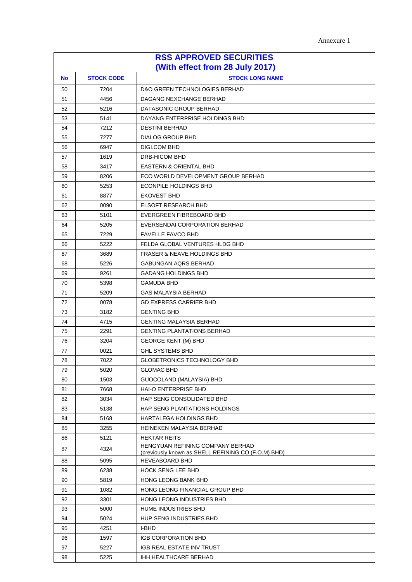Annexure 1

| <b>RSS APPROVED SECURITIES</b><br>(With effect from 28 July 2017) |      |                                                                                         |  |
|-------------------------------------------------------------------|------|-----------------------------------------------------------------------------------------|--|
| <b>STOCK CODE</b><br><b>STOCK LONG NAME</b><br>No                 |      |                                                                                         |  |
| 50                                                                | 7204 | <b>D&amp;O GREEN TECHNOLOGIES BERHAD</b>                                                |  |
| 51                                                                | 4456 | DAGANG NEXCHANGE BERHAD                                                                 |  |
| 52                                                                | 5216 | DATASONIC GROUP BERHAD                                                                  |  |
| 53                                                                | 5141 | DAYANG ENTERPRISE HOLDINGS BHD                                                          |  |
| 54                                                                | 7212 | <b>DESTINI BERHAD</b>                                                                   |  |
| 55                                                                | 7277 | <b>DIALOG GROUP BHD</b>                                                                 |  |
| 56                                                                | 6947 | <b>DIGI.COM BHD</b>                                                                     |  |
| 57                                                                | 1619 | DRB-HICOM BHD                                                                           |  |
| 58                                                                | 3417 | <b>EASTERN &amp; ORIENTAL BHD</b>                                                       |  |
| 59                                                                | 8206 | ECO WORLD DEVELOPMENT GROUP BERHAD                                                      |  |
| 60                                                                | 5253 | <b>ECONPILE HOLDINGS BHD</b>                                                            |  |
| 61                                                                | 8877 | <b>EKOVEST BHD</b>                                                                      |  |
| 62                                                                | 0090 | <b>ELSOFT RESEARCH BHD</b>                                                              |  |
| 63                                                                | 5101 | EVERGREEN FIBREBOARD BHD                                                                |  |
| 64                                                                | 5205 | EVERSENDAI CORPORATION BERHAD                                                           |  |
| 65                                                                | 7229 | <b>FAVELLE FAVCO BHD</b>                                                                |  |
| 66                                                                | 5222 | FELDA GLOBAL VENTURES HLDG BHD                                                          |  |
| 67                                                                | 3689 | <b>FRASER &amp; NEAVE HOLDINGS BHD</b>                                                  |  |
| 68                                                                | 5226 | <b>GABUNGAN AQRS BERHAD</b>                                                             |  |
| 69                                                                | 9261 | <b>GADANG HOLDINGS BHD</b>                                                              |  |
| 70                                                                | 5398 | <b>GAMUDA BHD</b>                                                                       |  |
| 71                                                                | 5209 | <b>GAS MALAYSIA BERHAD</b>                                                              |  |
| 72                                                                | 0078 | <b>GD EXPRESS CARRIER BHD</b>                                                           |  |
| 73                                                                | 3182 | <b>GENTING BHD</b>                                                                      |  |
| 74                                                                | 4715 | <b>GENTING MALAYSIA BERHAD</b>                                                          |  |
| 75                                                                | 2291 | <b>GENTING PLANTATIONS BERHAD</b>                                                       |  |
| 76                                                                | 3204 | <b>GEORGE KENT (M) BHD</b>                                                              |  |
| 77                                                                | 0021 | <b>GHL SYSTEMS BHD</b>                                                                  |  |
| 78                                                                | 7022 | GLOBETRONICS TECHNOLOGY BHD                                                             |  |
| 79                                                                | 5020 | <b>GLOMAC BHD</b>                                                                       |  |
| 80                                                                | 1503 | GUOCOLAND (MALAYSIA) BHD                                                                |  |
| 81                                                                | 7668 | <b>HAI-O ENTERPRISE BHD</b>                                                             |  |
| 82                                                                | 3034 | HAP SENG CONSOLIDATED BHD                                                               |  |
| 83                                                                | 5138 | HAP SENG PLANTATIONS HOLDINGS                                                           |  |
| 84                                                                | 5168 | <b>HARTALEGA HOLDINGS BHD</b>                                                           |  |
| 85                                                                | 3255 | HEINEKEN MALAYSIA BERHAD                                                                |  |
| 86                                                                | 5121 | <b>HEKTAR REITS</b>                                                                     |  |
| 87                                                                | 4324 | HENGYUAN REFINING COMPANY BERHAD<br>(previously known as SHELL REFINING CO (F.O.M) BHD) |  |
| 88                                                                | 5095 | <b>HEVEABOARD BHD</b>                                                                   |  |
| 89                                                                | 6238 | <b>HOCK SENG LEE BHD</b>                                                                |  |
| 90                                                                | 5819 | HONG LEONG BANK BHD                                                                     |  |
| 91                                                                | 1082 | HONG LEONG FINANCIAL GROUP BHD                                                          |  |
| 92                                                                | 3301 | HONG LEONG INDUSTRIES BHD                                                               |  |
| 93                                                                | 5000 | HUME INDUSTRIES BHD                                                                     |  |
| 94                                                                | 5024 | HUP SENG INDUSTRIES BHD                                                                 |  |
| 95                                                                | 4251 | I-BHD                                                                                   |  |
| 96                                                                | 1597 | <b>IGB CORPORATION BHD</b>                                                              |  |
| 97                                                                | 5227 | IGB REAL ESTATE INV TRUST                                                               |  |
| 98                                                                | 5225 | IHH HEALTHCARE BERHAD                                                                   |  |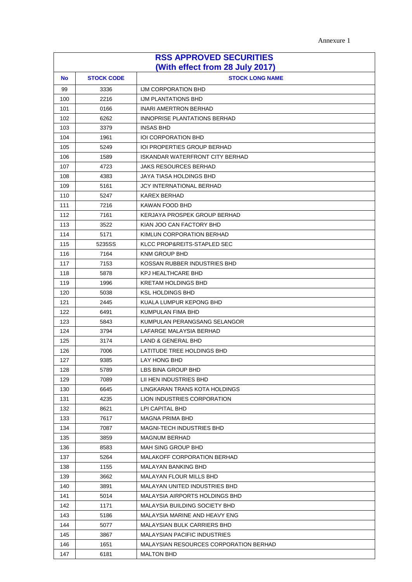| Annexure 1 |
|------------|
|------------|

| <b>RSS APPROVED SECURITIES</b><br>(With effect from 28 July 2017) |        |                                        |  |
|-------------------------------------------------------------------|--------|----------------------------------------|--|
| <b>STOCK CODE</b><br><b>STOCK LONG NAME</b><br><b>No</b>          |        |                                        |  |
| 99                                                                | 3336   | IJM CORPORATION BHD                    |  |
| 100                                                               | 2216   | <b>IJM PLANTATIONS BHD</b>             |  |
| 101                                                               | 0166   | <b>INARI AMERTRON BERHAD</b>           |  |
| 102                                                               | 6262   | INNOPRISE PLANTATIONS BERHAD           |  |
| 103                                                               | 3379   | INSAS BHD                              |  |
| 104                                                               | 1961   | <b>IOI CORPORATION BHD</b>             |  |
| 105                                                               | 5249   | <b>IOI PROPERTIES GROUP BERHAD</b>     |  |
| 106                                                               | 1589   | <b>ISKANDAR WATERFRONT CITY BERHAD</b> |  |
| 107                                                               | 4723   | <b>JAKS RESOURCES BERHAD</b>           |  |
| 108                                                               | 4383   | JAYA TIASA HOLDINGS BHD                |  |
| 109                                                               | 5161   | <b>JCY INTERNATIONAL BERHAD</b>        |  |
| 110                                                               | 5247   | KAREX BERHAD                           |  |
| 111                                                               | 7216   | KAWAN FOOD BHD                         |  |
| 112                                                               | 7161   | KERJAYA PROSPEK GROUP BERHAD           |  |
| 113                                                               | 3522   | KIAN JOO CAN FACTORY BHD               |  |
| 114                                                               | 5171   | KIMLUN CORPORATION BERHAD              |  |
| 115                                                               | 5235SS | KLCC PROP&REITS-STAPLED SEC            |  |
| 116                                                               | 7164   | <b>KNM GROUP BHD</b>                   |  |
| 117                                                               | 7153   | KOSSAN RUBBER INDUSTRIES BHD           |  |
| 118                                                               | 5878   | KPJ HEALTHCARE BHD                     |  |
| 119                                                               | 1996   | <b>KRETAM HOLDINGS BHD</b>             |  |
| 120                                                               | 5038   | <b>KSL HOLDINGS BHD</b>                |  |
| 121                                                               | 2445   | KUALA LUMPUR KEPONG BHD                |  |
| 122                                                               | 6491   | KUMPULAN FIMA BHD                      |  |
| 123                                                               | 5843   | KUMPULAN PERANGSANG SELANGOR           |  |
| 124                                                               | 3794   | LAFARGE MALAYSIA BERHAD                |  |
| 125                                                               | 3174   | LAND & GENERAL BHD                     |  |
| 126                                                               | 7006   | LATITUDE TREE HOLDINGS BHD             |  |
| 127                                                               | 9385   | LAY HONG BHD                           |  |
| 128                                                               | 5789   | LBS BINA GROUP BHD                     |  |
| 129                                                               | 7089   | LII HEN INDUSTRIES BHD                 |  |
| 130                                                               | 6645   | LINGKARAN TRANS KOTA HOLDINGS          |  |
| 131                                                               | 4235   | LION INDUSTRIES CORPORATION            |  |
| 132                                                               | 8621   | LPI CAPITAL BHD                        |  |
| 133                                                               | 7617   | MAGNA PRIMA BHD                        |  |
| 134                                                               | 7087   | <b>MAGNI-TECH INDUSTRIES BHD</b>       |  |
| 135                                                               | 3859   | <b>MAGNUM BERHAD</b>                   |  |
| 136                                                               | 8583   | <b>MAH SING GROUP BHD</b>              |  |
| 137                                                               | 5264   | <b>MALAKOFF CORPORATION BERHAD</b>     |  |
| 138                                                               | 1155   | MALAYAN BANKING BHD                    |  |
| 139                                                               | 3662   | MALAYAN FLOUR MILLS BHD                |  |
| 140                                                               | 3891   | MALAYAN UNITED INDUSTRIES BHD          |  |
| 141                                                               | 5014   | MALAYSIA AIRPORTS HOLDINGS BHD         |  |
| 142                                                               | 1171   | MALAYSIA BUILDING SOCIETY BHD          |  |
| 143                                                               | 5186   | MALAYSIA MARINE AND HEAVY ENG          |  |
| 144                                                               | 5077   | MALAYSIAN BULK CARRIERS BHD            |  |
| 145                                                               | 3867   | <b>MALAYSIAN PACIFIC INDUSTRIES</b>    |  |
| 146                                                               | 1651   | MALAYSIAN RESOURCES CORPORATION BERHAD |  |
| 147                                                               | 6181   | <b>MALTON BHD</b>                      |  |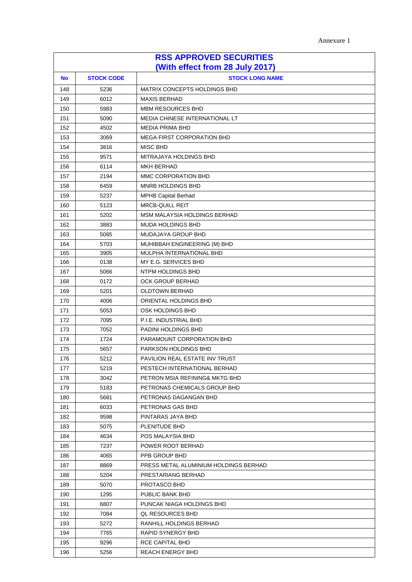| Annexure 1 |
|------------|
|------------|

| <b>RSS APPROVED SECURITIES</b>  |                   |                                           |  |
|---------------------------------|-------------------|-------------------------------------------|--|
| (With effect from 28 July 2017) |                   |                                           |  |
| <b>No</b>                       | <b>STOCK CODE</b> | <b>STOCK LONG NAME</b>                    |  |
| 148                             | 5236              | MATRIX CONCEPTS HOLDINGS BHD              |  |
| 149                             | 6012              | <b>MAXIS BERHAD</b>                       |  |
| 150                             | 5983              | <b>MBM RESOURCES BHD</b>                  |  |
| 151                             | 5090              | MEDIA CHINESE INTERNATIONAL LT            |  |
| 152                             | 4502              | <b>MEDIA PRIMA BHD</b>                    |  |
| 153                             | 3069              | <b>MEGA FIRST CORPORATION BHD</b>         |  |
| 154                             | 3816              | <b>MISC BHD</b>                           |  |
| 155                             | 9571              | MITRAJAYA HOLDINGS BHD                    |  |
| 156                             | 6114              | <b>MKH BERHAD</b>                         |  |
| 157                             | 2194              | MMC CORPORATION BHD                       |  |
| 158                             | 6459              | MNRB HOLDINGS BHD                         |  |
| 159                             | 5237              | MPHB Capital Berhad                       |  |
| 160                             | 5123              | <b>MRCB-QUILL REIT</b>                    |  |
| 161                             | 5202              | MSM MALAYSIA HOLDINGS BERHAD              |  |
| 162                             | 3883              | <b>MUDA HOLDINGS BHD</b>                  |  |
| 163                             | 5085              | MUDAJAYA GROUP BHD                        |  |
| 164                             | 5703              | MUHIBBAH ENGINEERING (M) BHD              |  |
| 165                             | 3905              | MULPHA INTERNATIONAL BHD                  |  |
| 166                             | 0138              | MY E.G. SERVICES BHD                      |  |
| 167                             | 5066              | NTPM HOLDINGS BHD                         |  |
| 168                             | 0172              | <b>OCK GROUP BERHAD</b>                   |  |
| 169                             | 5201              | <b>OLDTOWN BERHAD</b>                     |  |
| 170                             | 4006              | ORIENTAL HOLDINGS BHD                     |  |
| 171<br>172                      | 5053<br>7095      | OSK HOLDINGS BHD<br>P.I.E. INDUSTRIAL BHD |  |
| 173                             | 7052              | PADINI HOLDINGS BHD                       |  |
| 174                             | 1724              | PARAMOUNT CORPORATION BHD                 |  |
| 175                             | 5657              | PARKSON HOLDINGS BHD                      |  |
| 176                             | 5212              | PAVILION REAL ESTATE INV TRUST            |  |
| 177                             | 5219              | PESTECH INTERNATIONAL BERHAD              |  |
| 178                             | 3042              | PETRON MSIA REFINING& MKTG BHD            |  |
| 179                             | 5183              | PETRONAS CHEMICALS GROUP BHD              |  |
| 180                             | 5681              | PETRONAS DAGANGAN BHD                     |  |
| 181                             | 6033              | PETRONAS GAS BHD                          |  |
| 182                             | 9598              | PINTARAS JAYA BHD                         |  |
| 183                             | 5075              | PLENITUDE BHD                             |  |
| 184                             | 4634              | POS MALAYSIA BHD                          |  |
| 185                             | 7237              | POWER ROOT BERHAD                         |  |
| 186                             | 4065              | PPB GROUP BHD                             |  |
| 187                             | 8869              | PRESS METAL ALUMINIUM HOLDINGS BERHAD     |  |
| 188                             | 5204              | PRESTARIANG BERHAD                        |  |
| 189                             | 5070              | PROTASCO BHD                              |  |
| 190                             | 1295              | PUBLIC BANK BHD                           |  |
| 191                             | 6807              | PUNCAK NIAGA HOLDINGS BHD                 |  |
| 192                             | 7084              | QL RESOURCES BHD                          |  |
| 193                             | 5272              | RANHILL HOLDINGS BERHAD                   |  |
| 194                             | 7765              | RAPID SYNERGY BHD                         |  |
| 195                             | 9296              | RCE CAPITAL BHD                           |  |
| 196                             | 5256              | <b>REACH ENERGY BHD</b>                   |  |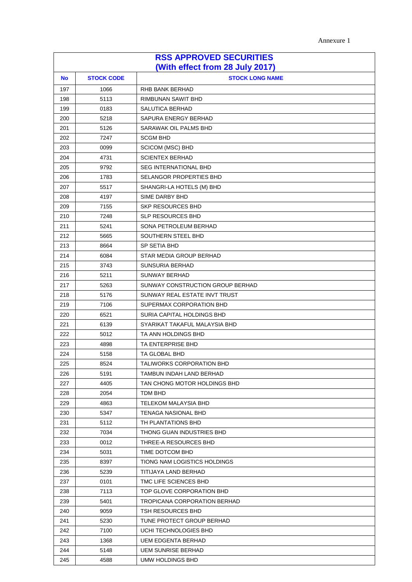| Annexure 1 |
|------------|
|------------|

| <b>RSS APPROVED SECURITIES</b>  |                   |                                  |  |
|---------------------------------|-------------------|----------------------------------|--|
| (With effect from 28 July 2017) |                   |                                  |  |
| <b>No</b>                       | <b>STOCK CODE</b> | <b>STOCK LONG NAME</b>           |  |
| 197                             | 1066              | RHB BANK BERHAD                  |  |
| 198                             | 5113              | RIMBUNAN SAWIT BHD               |  |
| 199                             | 0183              | <b>SALUTICA BERHAD</b>           |  |
| 200                             | 5218              | SAPURA ENERGY BERHAD             |  |
| 201                             | 5126              | SARAWAK OIL PALMS BHD            |  |
| 202                             | 7247              | <b>SCGM BHD</b>                  |  |
| 203                             | 0099              | <b>SCICOM (MSC) BHD</b>          |  |
| 204                             | 4731              | <b>SCIENTEX BERHAD</b>           |  |
| 205                             | 9792              | <b>SEG INTERNATIONAL BHD</b>     |  |
| 206                             | 1783              | <b>SELANGOR PROPERTIES BHD</b>   |  |
| 207                             | 5517              | SHANGRI-LA HOTELS (M) BHD        |  |
| 208                             | 4197              | SIME DARBY BHD                   |  |
| 209                             | 7155              | SKP RESOURCES BHD                |  |
| 210                             | 7248              | <b>SLP RESOURCES BHD</b>         |  |
| 211                             | 5241              | SONA PETROLEUM BERHAD            |  |
| 212                             | 5665              | SOUTHERN STEEL BHD               |  |
| 213                             | 8664              | SP SETIA BHD                     |  |
| 214                             | 6084              | STAR MEDIA GROUP BERHAD          |  |
| 215                             | 3743              | SUNSURIA BERHAD                  |  |
| 216                             | 5211              | <b>SUNWAY BERHAD</b>             |  |
| 217                             | 5263              | SUNWAY CONSTRUCTION GROUP BERHAD |  |
| 218                             | 5176              | SUNWAY REAL ESTATE INVT TRUST    |  |
| 219                             | 7106              | SUPERMAX CORPORATION BHD         |  |
| 220                             | 6521              | SURIA CAPITAL HOLDINGS BHD       |  |
| 221                             | 6139              | SYARIKAT TAKAFUL MALAYSIA BHD    |  |
| 222                             | 5012              | TA ANN HOLDINGS BHD              |  |
| 223                             | 4898              | TA ENTERPRISE BHD                |  |
| 224                             | 5158              | TA GLOBAL BHD                    |  |
| 225                             | 8524              | TALIWORKS CORPORATION BHD        |  |
| 226                             | 5191              | TAMBUN INDAH LAND BERHAD         |  |
| 227                             | 4405              | TAN CHONG MOTOR HOLDINGS BHD     |  |
| 228                             | 2054              | TDM BHD                          |  |
| 229                             | 4863              | TELEKOM MALAYSIA BHD             |  |
| 230                             | 5347              | TENAGA NASIONAL BHD              |  |
| 231                             | 5112              | TH PLANTATIONS BHD               |  |
| 232                             | 7034              | THONG GUAN INDUSTRIES BHD        |  |
| 233                             | 0012              | THREE-A RESOURCES BHD            |  |
| 234                             | 5031              | TIME DOTCOM BHD                  |  |
| 235                             | 8397              | TIONG NAM LOGISTICS HOLDINGS     |  |
| 236                             | 5239              | TITIJAYA LAND BERHAD             |  |
| 237                             | 0101              | TMC LIFE SCIENCES BHD            |  |
| 238                             | 7113              | TOP GLOVE CORPORATION BHD        |  |
| 239                             | 5401              | TROPICANA CORPORATION BERHAD     |  |
| 240                             | 9059              | TSH RESOURCES BHD                |  |
| 241                             | 5230              | TUNE PROTECT GROUP BERHAD        |  |
| 242                             | 7100              | UCHI TECHNOLOGIES BHD            |  |
| 243                             | 1368              | UEM EDGENTA BERHAD               |  |
| 244                             | 5148              | UEM SUNRISE BERHAD               |  |
| 245                             | 4588              | UMW HOLDINGS BHD                 |  |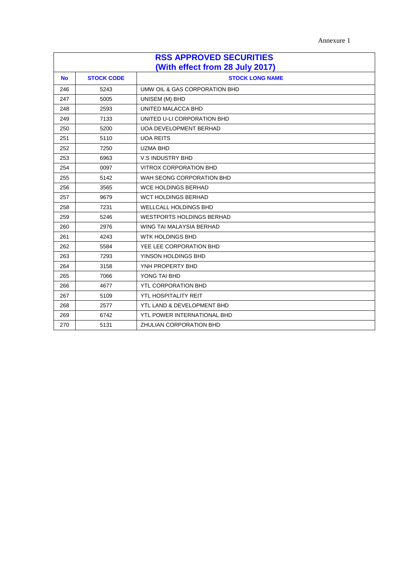Annexure 1

| <b>RSS APPROVED SECURITIES</b><br>(With effect from 28 July 2017) |                   |                                  |  |
|-------------------------------------------------------------------|-------------------|----------------------------------|--|
| <b>No</b>                                                         | <b>STOCK CODE</b> | <b>STOCK LONG NAME</b>           |  |
| 246                                                               | 5243              | UMW OIL & GAS CORPORATION BHD    |  |
| 247                                                               | 5005              | UNISEM (M) BHD                   |  |
| 248                                                               | 2593              | UNITED MALACCA BHD               |  |
| 249                                                               | 7133              | UNITED U-LI CORPORATION BHD      |  |
| 250                                                               | 5200              | <b>UOA DEVELOPMENT BERHAD</b>    |  |
| 251                                                               | 5110              | <b>UOA REITS</b>                 |  |
| 252                                                               | 7250              | <b>UZMA BHD</b>                  |  |
| 253                                                               | 6963              | V.S INDUSTRY BHD                 |  |
| 254                                                               | 0097              | <b>VITROX CORPORATION BHD</b>    |  |
| 255                                                               | 5142              | WAH SEONG CORPORATION BHD        |  |
| 256                                                               | 3565              | <b>WCE HOLDINGS BERHAD</b>       |  |
| 257                                                               | 9679              | WCT HOLDINGS BERHAD              |  |
| 258                                                               | 7231              | <b>WELLCALL HOLDINGS BHD</b>     |  |
| 259                                                               | 5246              | <b>WESTPORTS HOLDINGS BERHAD</b> |  |
| 260                                                               | 2976              | WING TAI MALAYSIA BERHAD         |  |
| 261                                                               | 4243              | WTK HOLDINGS BHD                 |  |
| 262                                                               | 5584              | YEE LEE CORPORATION BHD          |  |
| 263                                                               | 7293              | YINSON HOLDINGS BHD              |  |
| 264                                                               | 3158              | YNH PROPERTY BHD                 |  |
| 265                                                               | 7066              | YONG TAI BHD                     |  |
| 266                                                               | 4677              | <b>YTL CORPORATION BHD</b>       |  |
| 267                                                               | 5109              | <b>YTL HOSPITALITY REIT</b>      |  |
| 268                                                               | 2577              | YTL LAND & DEVELOPMENT BHD       |  |
| 269                                                               | 6742              | YTL POWER INTERNATIONAL BHD      |  |
| 270                                                               | 5131              | ZHULIAN CORPORATION BHD          |  |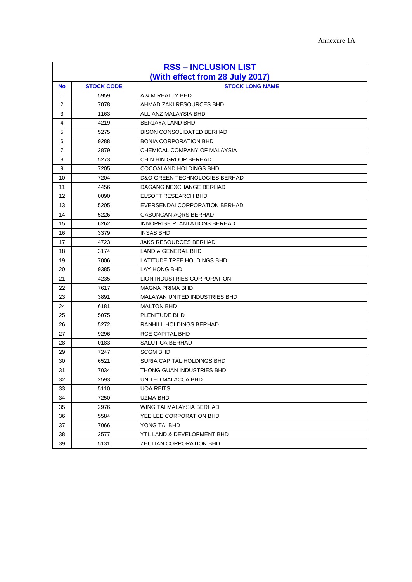| <b>RSS - INCLUSION LIST</b> |                                 |                                          |  |
|-----------------------------|---------------------------------|------------------------------------------|--|
|                             | (With effect from 28 July 2017) |                                          |  |
| <b>No</b>                   | <b>STOCK CODE</b>               | <b>STOCK LONG NAME</b>                   |  |
| $\mathbf{1}$                | 5959                            | A & M REALTY BHD                         |  |
| $\overline{2}$              | 7078                            | AHMAD ZAKI RESOURCES BHD                 |  |
| 3                           | 1163                            | ALLIANZ MALAYSIA BHD                     |  |
| 4                           | 4219                            | <b>BERJAYA LAND BHD</b>                  |  |
| 5                           | 5275                            | <b>BISON CONSOLIDATED BERHAD</b>         |  |
| 6                           | 9288                            | <b>BONIA CORPORATION BHD</b>             |  |
| 7                           | 2879                            | CHEMICAL COMPANY OF MALAYSIA             |  |
| 8                           | 5273                            | CHIN HIN GROUP BERHAD                    |  |
| 9                           | 7205                            | COCOALAND HOLDINGS BHD                   |  |
| 10                          | 7204                            | <b>D&amp;O GREEN TECHNOLOGIES BERHAD</b> |  |
| 11                          | 4456                            | DAGANG NEXCHANGE BERHAD                  |  |
| 12                          | 0090                            | <b>ELSOFT RESEARCH BHD</b>               |  |
| 13                          | 5205                            | EVERSENDAI CORPORATION BERHAD            |  |
| 14                          | 5226                            | <b>GABUNGAN AQRS BERHAD</b>              |  |
| 15                          | 6262                            | INNOPRISE PLANTATIONS BERHAD             |  |
| 16                          | 3379                            | <b>INSAS BHD</b>                         |  |
| 17                          | 4723                            | <b>JAKS RESOURCES BERHAD</b>             |  |
| 18                          | 3174                            | <b>LAND &amp; GENERAL BHD</b>            |  |
| 19                          | 7006                            | LATITUDE TREE HOLDINGS BHD               |  |
| 20                          | 9385                            | <b>LAY HONG BHD</b>                      |  |
| 21                          | 4235                            | LION INDUSTRIES CORPORATION              |  |
| 22                          | 7617                            | <b>MAGNA PRIMA BHD</b>                   |  |
| 23                          | 3891                            | <b>MALAYAN UNITED INDUSTRIES BHD</b>     |  |
| 24                          | 6181                            | <b>MALTON BHD</b>                        |  |
| 25                          | 5075                            | PLENITUDE BHD                            |  |
| 26                          | 5272                            | RANHILL HOLDINGS BERHAD                  |  |
| 27                          | 9296                            | RCE CAPITAL BHD                          |  |
| 28                          | 0183                            | SALUTICA BERHAD                          |  |
| 29                          | 7247                            | <b>SCGM BHD</b>                          |  |
| 30                          | 6521                            | SURIA CAPITAL HOLDINGS BHD               |  |
| 31                          | 7034                            | THONG GUAN INDUSTRIES BHD                |  |
| 32                          | 2593                            | UNITED MALACCA BHD                       |  |
| 33                          | 5110                            | <b>UOA REITS</b>                         |  |
| 34                          | 7250                            | UZMA BHD                                 |  |
| 35                          | 2976                            | WING TAI MALAYSIA BERHAD                 |  |
| 36                          | 5584                            | YEE LEE CORPORATION BHD                  |  |
| 37                          | 7066                            | YONG TAI BHD                             |  |
| 38                          | 2577                            | YTL LAND & DEVELOPMENT BHD               |  |
| 39                          | 5131                            | ZHULIAN CORPORATION BHD                  |  |